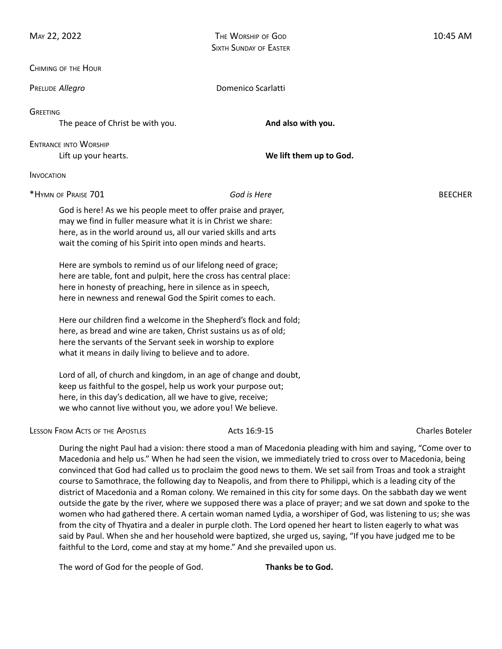CHIMING OF THE HOUR

ENTRANCE INTO WORSHIP

**PRELUDE Allegro** Domenico Scarlatti

## **GREETING**

The peace of Christ be with you. **And also with you.**

Lift up your hearts. **We lift them up to God.**

## **INVOCATION**

| *HYMN OF PRAISE 701                                                                                                                                                                                                                                            | God is Here                                                                                                    | <b>BEECHER</b>  |
|----------------------------------------------------------------------------------------------------------------------------------------------------------------------------------------------------------------------------------------------------------------|----------------------------------------------------------------------------------------------------------------|-----------------|
| God is here! As we his people meet to offer praise and prayer,<br>may we find in fuller measure what it is in Christ we share:<br>here, as in the world around us, all our varied skills and arts<br>wait the coming of his Spirit into open minds and hearts. |                                                                                                                |                 |
| Here are symbols to remind us of our lifelong need of grace;<br>here are table, font and pulpit, here the cross has central place:<br>here in honesty of preaching, here in silence as in speech,<br>here in newness and renewal God the Spirit comes to each. |                                                                                                                |                 |
| here, as bread and wine are taken, Christ sustains us as of old;<br>here the servants of the Servant seek in worship to explore<br>what it means in daily living to believe and to adore.                                                                      | Here our children find a welcome in the Shepherd's flock and fold;                                             |                 |
| keep us faithful to the gospel, help us work your purpose out;<br>here, in this day's dedication, all we have to give, receive;<br>we who cannot live without you, we adore you! We believe.                                                                   | Lord of all, of church and kingdom, in an age of change and doubt,                                             |                 |
| <b>LESSON FROM ACTS OF THE APOSTLES</b>                                                                                                                                                                                                                        | Acts 16:9-15                                                                                                   | Charles Boteler |
|                                                                                                                                                                                                                                                                | During the night Paul had a vision: there stood a man of Macedonia pleading with him and saying, "Come over to |                 |

During the night Paul had a vision: there stood a man of Macedonia pleading with him and saying, "Come over to Macedonia and help us." When he had seen the vision, we immediately tried to cross over to Macedonia, being convinced that God had called us to proclaim the good news to them. We set sail from Troas and took a straight course to Samothrace, the following day to Neapolis, and from there to Philippi, which is a leading city of the district of Macedonia and a Roman colony. We remained in this city for some days. On the sabbath day we went outside the gate by the river, where we supposed there was a place of prayer; and we sat down and spoke to the women who had gathered there. A certain woman named Lydia, a worshiper of God, was listening to us; she was from the city of Thyatira and a dealer in purple cloth. The Lord opened her heart to listen eagerly to what was said by Paul. When she and her household were baptized, she urged us, saying, "If you have judged me to be faithful to the Lord, come and stay at my home." And she prevailed upon us.

The word of God for the people of God. **Thanks be to God.**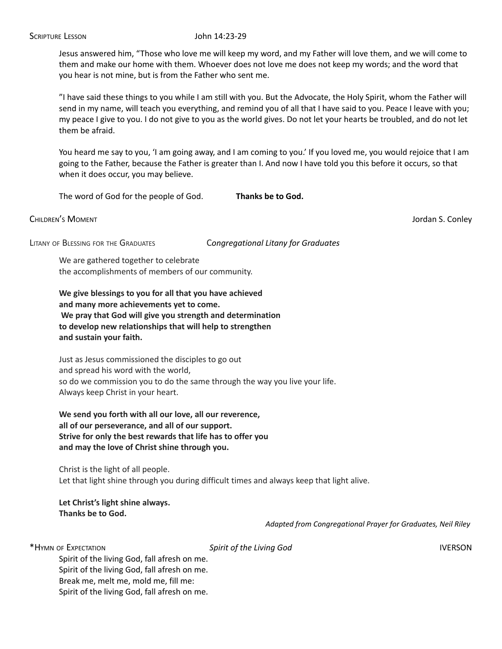Jesus answered him, "Those who love me will keep my word, and my Father will love them, and we will come to them and make our home with them. Whoever does not love me does not keep my words; and the word that you hear is not mine, but is from the Father who sent me.

"I have said these things to you while I am still with you. But the Advocate, the Holy Spirit, whom the Father will send in my name, will teach you everything, and remind you of all that I have said to you. Peace I leave with you; my peace I give to you. I do not give to you as the world gives. Do not let your hearts be troubled, and do not let them be afraid.

You heard me say to you, 'I am going away, and I am coming to you.' If you loved me, you would rejoice that I am going to the Father, because the Father is greater than I. And now I have told you this before it occurs, so that when it does occur, you may believe.

The word of God for the people of God. **Thanks be to God.**

### **CHILDREN'S MOMENT** CHILDREN'S MOMENT CHILDREN'S SUPPORTED THE SERVICE OF THE SERVICE OF THE SERVICE OF THE SERVICE OF THE SERVICE OF THE SERVICE OF THE SERVICE OF THE SERVICE OF THE SERVICE OF THE SERVICE OF THE SERVICE O

LITANY OF BLESSING FOR THE GRADUATES C*ongregational Litany for Graduates*

We are gathered together to celebrate the accomplishments of members of our community.

**We give blessings to you for all that you have achieved and many more achievements yet to come. We pray that God will give you strength and determination to develop new relationships that will help to strengthen and sustain your faith.**

Just as Jesus commissioned the disciples to go out and spread his word with the world, so do we commission you to do the same through the way you live your life. Always keep Christ in your heart.

**We send you forth with all our love, all our reverence, all of our perseverance, and all of our support. Strive for only the best rewards that life has to offer you and may the love of Christ shine through you.**

Christ is the light of all people. Let that light shine through you during difficult times and always keep that light alive.

**Let Christ's light shine always. Thanks be to God.**

*Adapted from Congregational Prayer for Graduates, Neil Riley*

\*HYMN OF EXPECTATION *Spirit of the Living God* IVERSON

Spirit of the living God, fall afresh on me. Spirit of the living God, fall afresh on me. Break me, melt me, mold me, fill me: Spirit of the living God, fall afresh on me.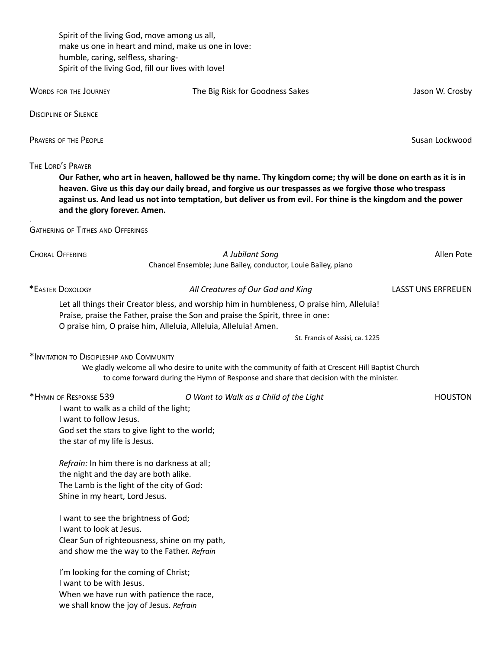Spirit of the living God, move among us all, make us one in heart and mind, make us one in love: humble, caring, selfless, sharing-Spirit of the living God, fill our lives with love! WORDS FOR THE JOURNEY **The Big Risk for Goodness Sakes** Jason W. Crosby **DISCIPLINE OF SILENCE PRAYERS OF THE PEOPLE Susan Lockwood Susan Lockwood Susan Lockwood** THE LORD'<sup>S</sup> PRAYER Our Father, who art in heaven, hallowed be thy name. Thy kingdom come; thy will be done on earth as it is in heaven. Give us this day our daily bread, and forgive us our trespasses as we forgive those who trespass against us. And lead us not into temptation, but deliver us from evil. For thine is the kingdom and the power **and the glory forever. Amen.** . GATHERING OF TITHES AND OFFERINGS CHORAL OFFERING *A Jubilant Song* Allen Pote Chancel Ensemble; June Bailey, conductor, Louie Bailey, piano \*EASTER DOXOLOGY *All Creatures of Our God and King* LASST UNS ERFREUEN Let all things their Creator bless, and worship him in humbleness, O praise him, Alleluia! Praise, praise the Father, praise the Son and praise the Spirit, three in one: O praise him, O praise him, Alleluia, Alleluia, Alleluia! Amen. St. Francis of Assisi, ca. 1225 \*INVITATION TO DISCIPLESHIP AND COMMUNITY We gladly welcome all who desire to unite with the community of faith at Crescent Hill Baptist Church to come forward during the Hymn of Response and share that decision with the minister. \*HYMN OF RESPONSE 539 *O Want to Walk as a Child of the Light* HOUSTON I want to walk as a child of the light; I want to follow Jesus. God set the stars to give light to the world; the star of my life is Jesus. *Refrain:* In him there is no darkness at all; the night and the day are both alike. The Lamb is the light of the city of God: Shine in my heart, Lord Jesus. I want to see the brightness of God; I want to look at Jesus. Clear Sun of righteousness, shine on my path, and show me the way to the Father. *Refrain* I'm looking for the coming of Christ; I want to be with Jesus. When we have run with patience the race, we shall know the joy of Jesus. *Refrain*